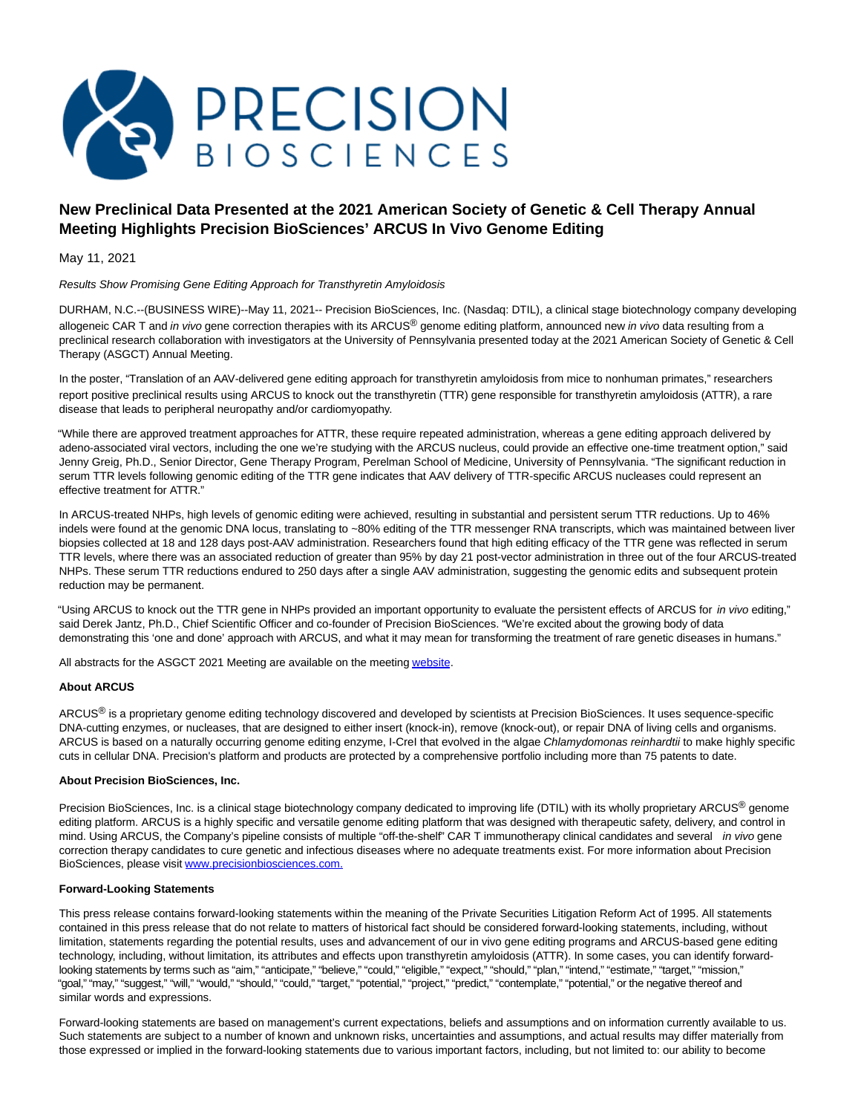

# **New Preclinical Data Presented at the 2021 American Society of Genetic & Cell Therapy Annual Meeting Highlights Precision BioSciences' ARCUS In Vivo Genome Editing**

May 11, 2021

## Results Show Promising Gene Editing Approach for Transthyretin Amyloidosis

DURHAM, N.C.--(BUSINESS WIRE)--May 11, 2021-- Precision BioSciences, Inc. (Nasdaq: DTIL), a clinical stage biotechnology company developing allogeneic CAR T and in vivo gene correction therapies with its ARCUS® genome editing platform, announced new in vivo data resulting from a preclinical research collaboration with investigators at the University of Pennsylvania presented today at the 2021 American Society of Genetic & Cell Therapy (ASGCT) Annual Meeting.

In the poster, "Translation of an AAV-delivered gene editing approach for transthyretin amyloidosis from mice to nonhuman primates," researchers report positive preclinical results using ARCUS to knock out the transthyretin (TTR) gene responsible for transthyretin amyloidosis (ATTR), a rare disease that leads to peripheral neuropathy and/or cardiomyopathy.

"While there are approved treatment approaches for ATTR, these require repeated administration, whereas a gene editing approach delivered by adeno-associated viral vectors, including the one we're studying with the ARCUS nucleus, could provide an effective one-time treatment option," said Jenny Greig, Ph.D., Senior Director, Gene Therapy Program, Perelman School of Medicine, University of Pennsylvania. "The significant reduction in serum TTR levels following genomic editing of the TTR gene indicates that AAV delivery of TTR-specific ARCUS nucleases could represent an effective treatment for ATTR."

In ARCUS-treated NHPs, high levels of genomic editing were achieved, resulting in substantial and persistent serum TTR reductions. Up to 46% indels were found at the genomic DNA locus, translating to ~80% editing of the TTR messenger RNA transcripts, which was maintained between liver biopsies collected at 18 and 128 days post-AAV administration. Researchers found that high editing efficacy of the TTR gene was reflected in serum TTR levels, where there was an associated reduction of greater than 95% by day 21 post-vector administration in three out of the four ARCUS-treated NHPs. These serum TTR reductions endured to 250 days after a single AAV administration, suggesting the genomic edits and subsequent protein reduction may be permanent.

"Using ARCUS to knock out the TTR gene in NHPs provided an important opportunity to evaluate the persistent effects of ARCUS for in vivo editing," said Derek Jantz, Ph.D., Chief Scientific Officer and co-founder of Precision BioSciences. "We're excited about the growing body of data demonstrating this 'one and done' approach with ARCUS, and what it may mean for transforming the treatment of rare genetic diseases in humans."

All abstracts for the ASGCT 2021 Meeting are available on the meetin[g website.](https://cts.businesswire.com/ct/CT?id=smartlink&url=https%3A%2F%2Fannualmeeting.asgct.org%2F&esheet=52426673&newsitemid=20210511005126&lan=en-US&anchor=website&index=1&md5=2c780d8bc26efb064e8c58a57869ef5b)

# **About ARCUS**

ARCUS<sup>®</sup> is a proprietary genome editing technology discovered and developed by scientists at Precision BioSciences. It uses sequence-specific DNA-cutting enzymes, or nucleases, that are designed to either insert (knock-in), remove (knock-out), or repair DNA of living cells and organisms. ARCUS is based on a naturally occurring genome editing enzyme, I-CreI that evolved in the algae Chlamydomonas reinhardtii to make highly specific cuts in cellular DNA. Precision's platform and products are protected by a comprehensive portfolio including more than 75 patents to date.

## **About Precision BioSciences, Inc.**

Precision BioSciences, Inc. is a clinical stage biotechnology company dedicated to improving life (DTIL) with its wholly proprietary ARCUS<sup>®</sup> genome editing platform. ARCUS is a highly specific and versatile genome editing platform that was designed with therapeutic safety, delivery, and control in mind. Using ARCUS, the Company's pipeline consists of multiple "off-the-shelf" CAR T immunotherapy clinical candidates and several *in vivo* gene correction therapy candidates to cure genetic and infectious diseases where no adequate treatments exist. For more information about Precision BioSciences, please visit [www.precisionbiosciences.com.](https://cts.businesswire.com/ct/CT?id=smartlink&url=http%3A%2F%2Fwww.precisionbiosciences.com%2F&esheet=52426673&newsitemid=20210511005126&lan=en-US&anchor=www.precisionbiosciences.com.&index=2&md5=1cc458438019c579132fff5aa8784463)

#### **Forward-Looking Statements**

This press release contains forward-looking statements within the meaning of the Private Securities Litigation Reform Act of 1995. All statements contained in this press release that do not relate to matters of historical fact should be considered forward-looking statements, including, without limitation, statements regarding the potential results, uses and advancement of our in vivo gene editing programs and ARCUS-based gene editing technology, including, without limitation, its attributes and effects upon transthyretin amyloidosis (ATTR). In some cases, you can identify forwardlooking statements by terms such as "aim," "anticipate," "believe," "could," "eligible," "expect," "should," "plan," "intend," "estimate," "target," "mission," "goal," "may," "suggest," "will," "would," "should," "could," "target," "potential," "project," "predict," "contemplate," "potential," or the negative thereof and similar words and expressions.

Forward-looking statements are based on management's current expectations, beliefs and assumptions and on information currently available to us. Such statements are subject to a number of known and unknown risks, uncertainties and assumptions, and actual results may differ materially from those expressed or implied in the forward-looking statements due to various important factors, including, but not limited to: our ability to become